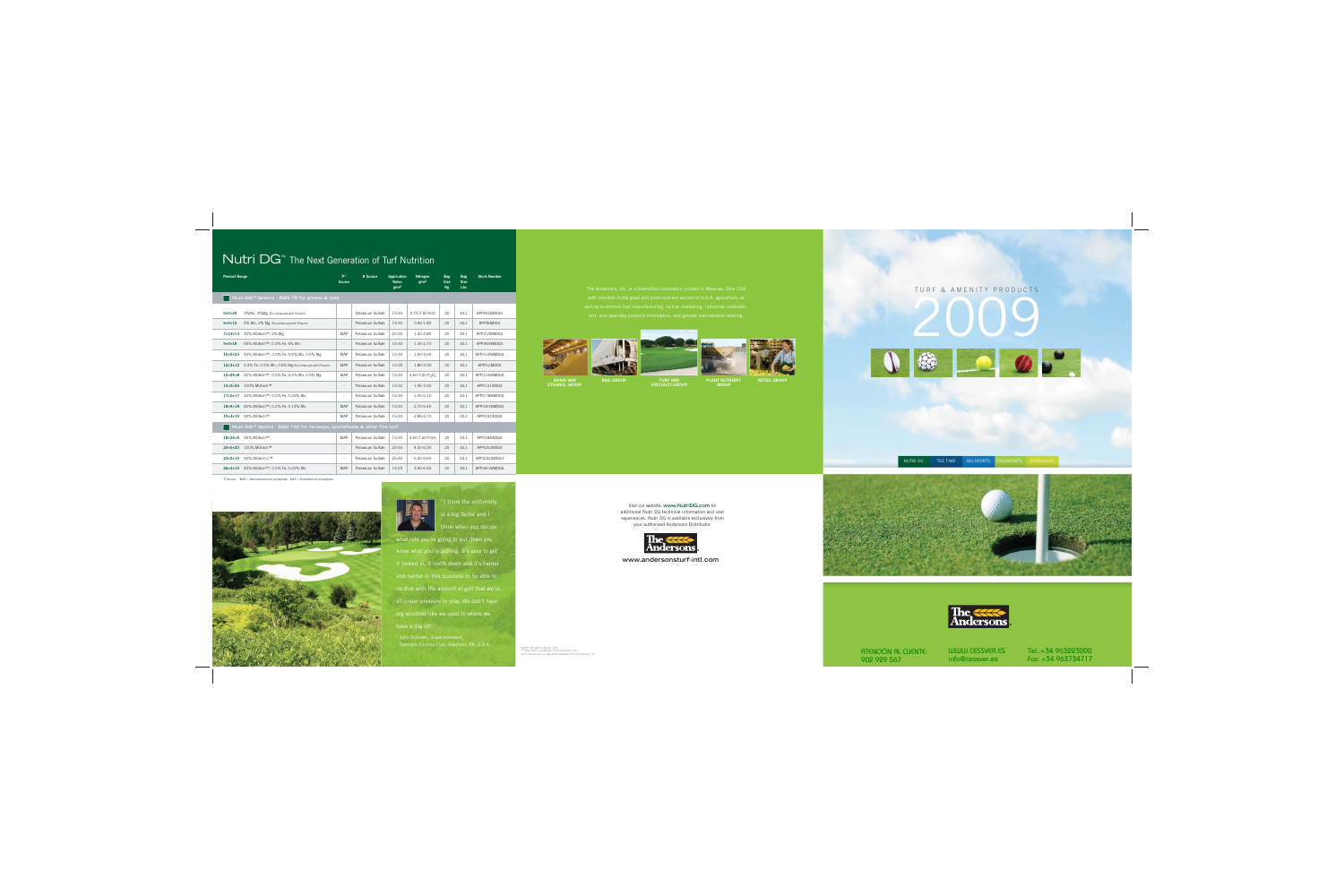



ATENCIÓN AL CLIENTE: 902 929 567

WWW.CESSVER.ES info@cessver.es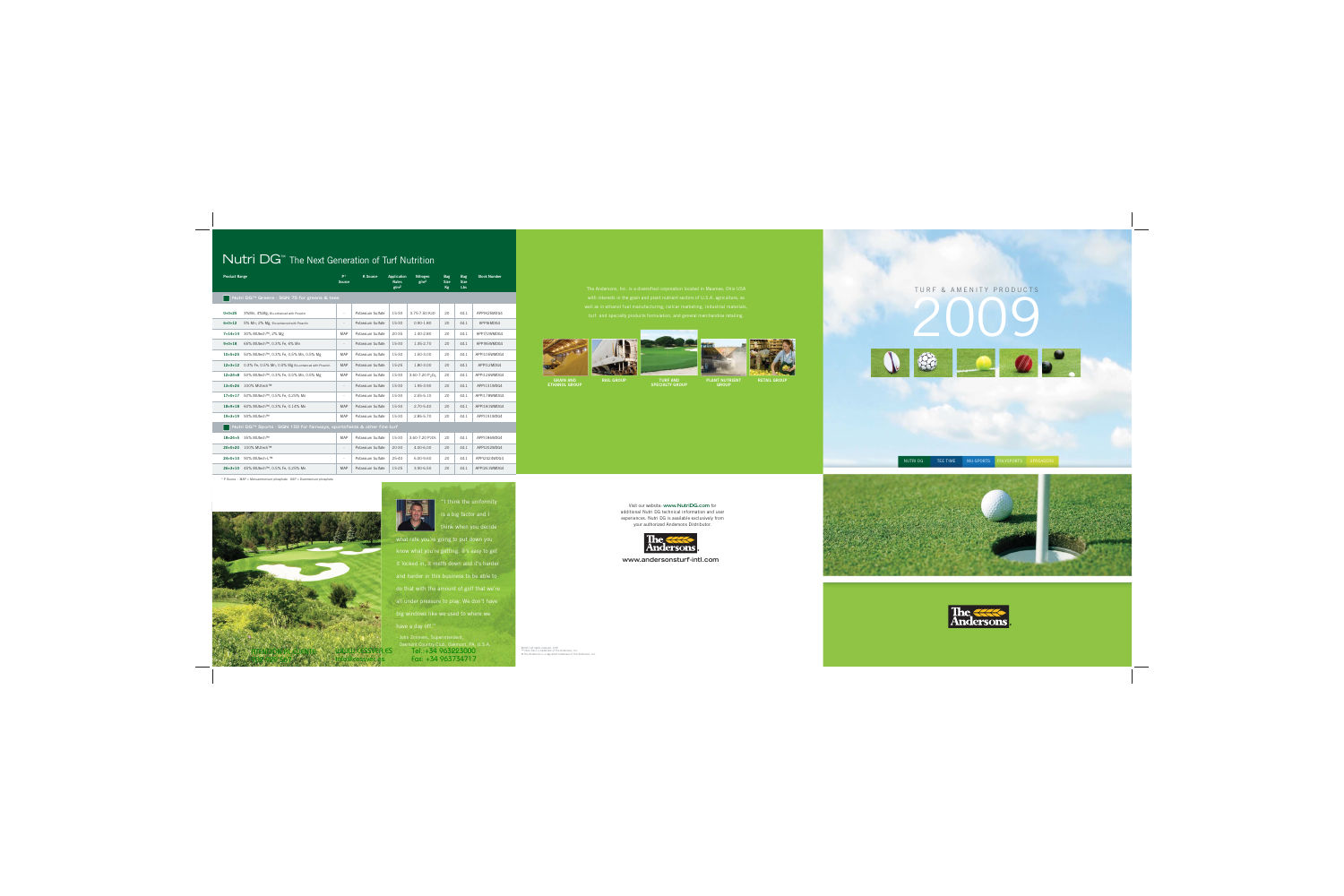## ${\sf Nutri\,\,DG}$ ™ The Next Generation of Turf Nutrition

| <b>Product Range</b>                                                    | p*<br><b>Source</b>      | <b>K</b> Source   | <b>Application</b><br><b>Rates</b><br>g/m <sup>2</sup> | Nitrogen<br>g/m <sup>2</sup>            | <b>Bag</b><br><b>Size</b><br>Kg | <b>Bag</b><br><b>Size</b><br>Lbs | <b>Stock Number</b> |  |  |
|-------------------------------------------------------------------------|--------------------------|-------------------|--------------------------------------------------------|-----------------------------------------|---------------------------------|----------------------------------|---------------------|--|--|
| Nutri DG™ Greens - SGN 75 for greens & tees                             |                          |                   |                                                        |                                         |                                 |                                  |                     |  |  |
| $0+0+25$<br>3%Mn, 4%Mg, Bio-enhanced with Proactin                      | $\sim$                   | Potassium Sulfate | 15-30                                                  | 3.75-7.50 K <sub>2</sub> 0              | 20                              | 44.1                             | APPIK25MDG4         |  |  |
| $6 + 0 + 12$<br>5% Mn, 2% Mg, Bio-enhanced with Proactin                | $\sim$                   | Potassium Sulfate | 15-30                                                  | $0.90 - 1.80$                           | 20                              | 44.1                             | APPI6MDG4           |  |  |
| $7+14+14$<br>30% MUtech™, 2% Mg                                         | <b>MAP</b>               | Potassium Sulfate | 20-35                                                  | 1.40-2.80                               | 20                              | 44.1                             | APPI72WMDG4         |  |  |
| $9+0+18$<br>65% MUtech™, 0.3% Fe, 6% Mn                                 | $\overline{\phantom{a}}$ | Potassium Sulfate | 15-30                                                  | 1.35-2.70                               | 20                              | 44.1                             | APPI95WMDG4         |  |  |
| $10+5+25$<br>50% MUtech™, 0.3% Fe, 0.5% Mn, 0.5% Mg                     | <b>MAP</b>               | Potassium Sulfate | 15-30                                                  | 1.50-3.00                               | 20                              | 44.1                             | APPI105WMDG4        |  |  |
| 12+3+12 0.3% Fe, 0.5% Mn, 0.5% Mg Bio-enhanced with Proactin            | <b>MAP</b>               | Potassium Sulfate | 15-25                                                  | 1.80-3.00                               | 20                              | 44.1                             | APPI12MDG4          |  |  |
| 50% MUtech™, 0.3% Fe, 0.5% Mn, 0.5% Mg<br>$12+24+8$                     | <b>MAP</b>               | Potassium Sulfate | 15-30                                                  | 3.60-7.20 P <sub>2</sub> 0 <sub>5</sub> | 20                              | 44.1                             | APPI126WMDG4        |  |  |
| 100% MUtech™<br>$13+0+26$                                               | $\overline{\phantom{a}}$ | Potassium Sulfate | 15-30                                                  | 1.95-3.90                               | 20                              | 44.1                             | APPI131WDG4         |  |  |
| 50% MUtech™, 0.5% Fe, 0.25% Mn<br>$17+0+17$                             | $\overline{\phantom{a}}$ | Potassium Sulfate | 15-30                                                  | 2.55-5.10                               | 20                              | 44.1                             | APPI178WMDG4        |  |  |
| 18+9+18 60% MUtech <sup>™</sup> , 0.3% Fe, 0.14% Mn                     | <b>MAP</b>               | Potassium Sulfate | 15-30                                                  | 2.70-5.40                               | 20                              | 44.1                             | APPI181WMDG4        |  |  |
| 19+3+19 93% MUtech™                                                     | <b>MAP</b>               | Potassium Sulfate | 15-30                                                  | 2.85-5.70                               | 20                              | 44.1                             | APPI191WDG4         |  |  |
| Nutri DG™ Sports - SGN 150 for fairways, sportsfields & other fine turf |                          |                   |                                                        |                                         |                                 |                                  |                     |  |  |
| 35% MUtech™<br>$18+24+5$                                                | <b>MAP</b>               | Potassium Sulfate | 15-30                                                  | 3.60-7.20 P <sub>2</sub> 0 <sub>5</sub> | 20                              | 44.1                             | APPI186WDG4         |  |  |
| $20+0+20$<br>100% MUtech™                                               | $\overline{\phantom{a}}$ | Potassium Sulfate | $20 - 30$                                              | 4.00-6.00                               | 20                              | 44.1                             | APPI202WDG4         |  |  |
| $24 + 0 + 10$<br>90% MUtech-L™                                          | $\sim$                   | Potassium Sulfate | 25-40                                                  | 6.00-9.60                               | 20                              | 44.1                             | APPI2424WDG4        |  |  |
| 26+3+10 45% MUtech <sup>™</sup> , 0.5% Fe, 0.25% Mn                     | <b>MAP</b>               | Potassium Sulfate | 15-25                                                  | 3.90-6.50                               | 20                              | 44.1                             | APPI261WMDG4        |  |  |

\* P Source : MAP = Monoammonium phosphate DAP = Diammonium phosphate





"I think the uniformity is a big factor and I think when you decide

what rate you're going to put down you know what you're getting. It's easy to get it locked in, it melts down and it's harder and harder in this business to be able to do that with the amount of golf that we're all under pressure to play. We don't have big windows like we used to where we have a day off."

- John Zimmers, Superintendent, Oakmont Country Club, Oakmont, PA, U.S.A. Tel.:+34 963223000 Fax: +34 963734717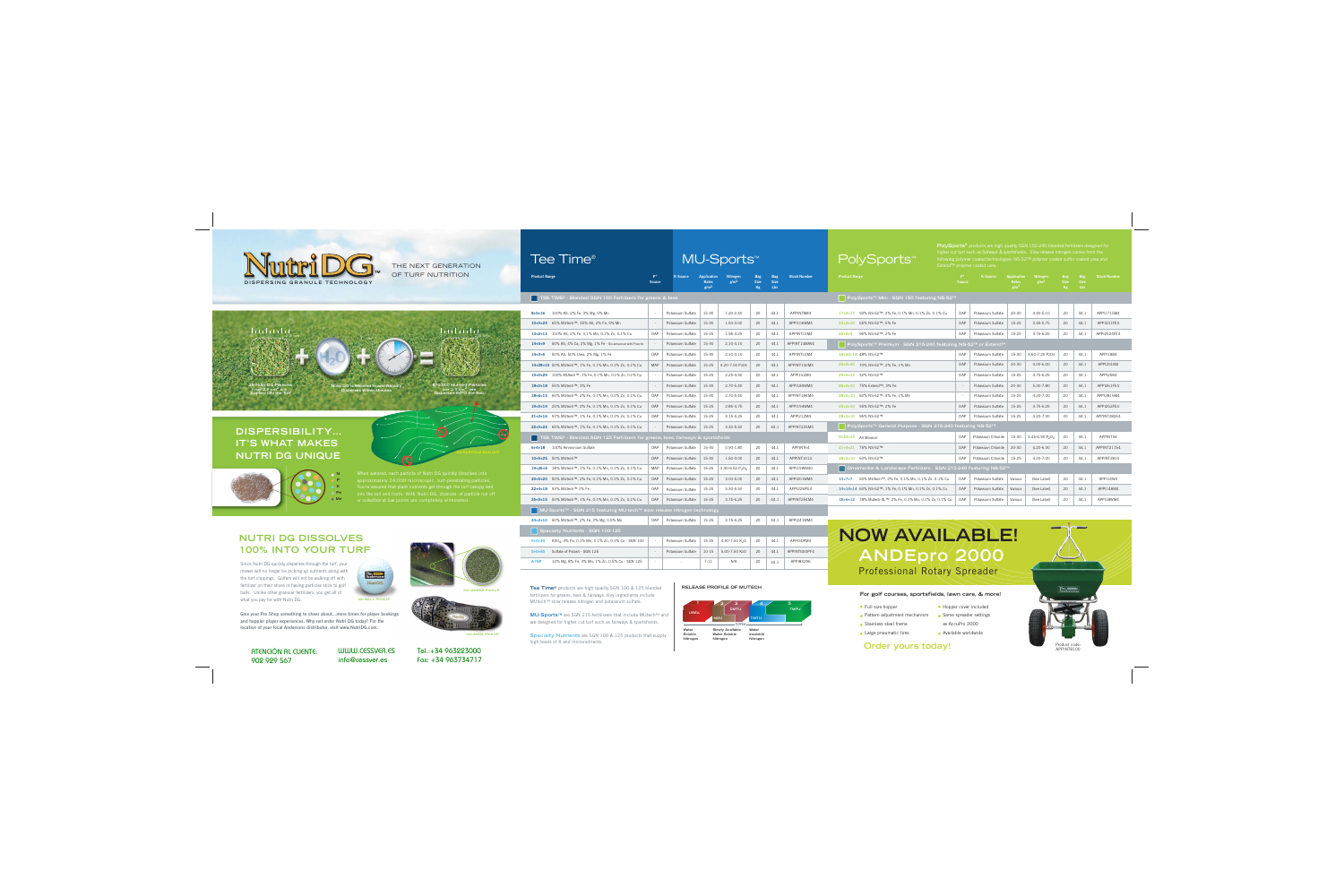

#### THE NEXT GENERATIONOF TURF NUTRITION

# 0 2.5 cm

**28 Nutri DG Particles per 2.5 cm2 are Applied ON the Turf**

**Nutri DG is Watered In and Rapidly Disperses Within Minutes**

## 0 2.5 cm



**670,000 Nutrient Particles per 2.5 cm2 are Dispersed INTO the Soil.** 

## **DISPERSIBILITY…IT'S WHAT MAKES NUTRI DG UNIQUE**



When watered, each particle of Nutri DG quickly dissolves into approximately 24,000 microscopic, turf-penetrating particles. You're assured that plant nutrients get through the turf canopy and

## **NUTRI DG DISSOLVES 100% INTO YOUR TURF**

Since Nutri DG quickly disperses through the turf, your mower will no longer be picking up nutrients along with the turf clippings. Golfers will not be walking off with fertilizer on their shoes or having particles stick to golf balls. Unlike other granular fertilizers, you get all of what you pay for with Nutri DG.



**NO BALL PICKUP**

**Give your Pro Shop something to cheer about...more times for player bookings and happier player experiences. Why not order Nutri DG today? For the location of your local Andersons distributor, visit www.NutriDG.com.**



**NO MOWER PICKUP**

**NO PARTICLE RUN OFF**



**NO SHOE PICKUP**

ATENCIÓN AL CLIENTE: 902 929 567

WWW.CESSVER.ES info@cessver.es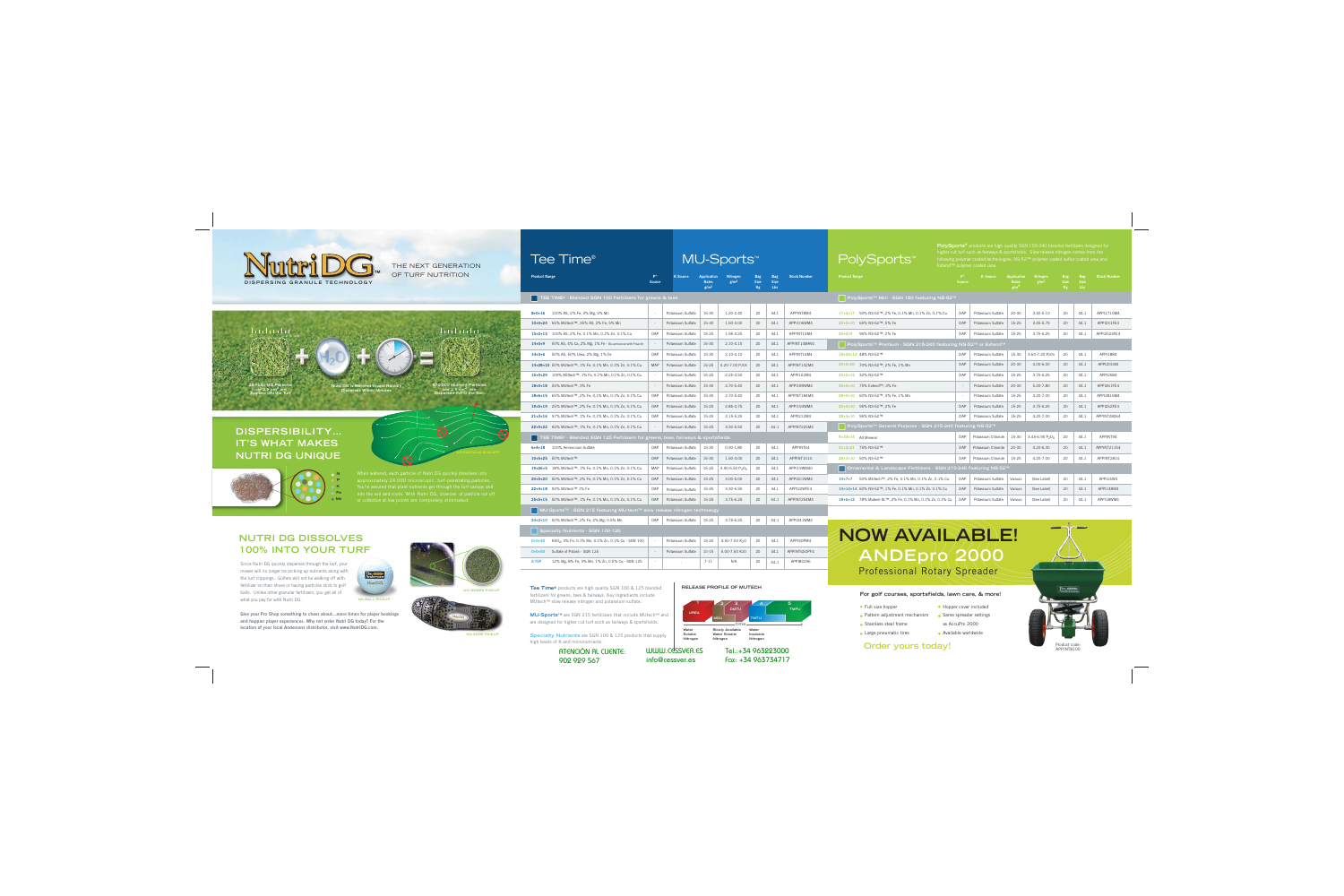## Tee Time® MU-Sports™

| <b>Product Range</b>                                                                 | $P^*$<br><b>Source</b>   | <b>K</b> Source          | <b>Application</b><br><b>Rates</b><br>g/m <sup>2</sup> | <b>Nitrogen</b><br>g/m <sup>2</sup>     | <b>Bag</b><br><b>Size</b><br><b>Kg</b> | <b>Bag</b><br><b>Size</b><br>Lbs | <b>Stock Number</b> |  |  |
|--------------------------------------------------------------------------------------|--------------------------|--------------------------|--------------------------------------------------------|-----------------------------------------|----------------------------------------|----------------------------------|---------------------|--|--|
| TEE TIME <sup>®</sup> - Blended SGN 100 Fertilizers for greens & tees                |                          |                          |                                                        |                                         |                                        |                                  |                     |  |  |
| $8 + 0 + 16$<br>100% AS, 2% Fe, 3% Mg, 5% Mn                                         | $\overline{\phantom{a}}$ | Potassium Sulfate        | 15-30                                                  | 1.20-2.40                               | 20                                     | 44.1                             | APPINT8M4           |  |  |
| $10+0+24$<br>65% MUtech™, 35% AS, 2% Fe, 5% Mn                                       | $\overline{\phantom{a}}$ | Potassium Sulfate        | 15-30                                                  | 1.50-3.00                               | 20                                     | 44.1                             | APPI106WM4          |  |  |
| $13 + 2 + 13$<br>100% AS, 2% Fe, 0.1% Mn, 0.1% Zn, 0.1% Cu                           | DAP                      | Potassium Sulfate        | 15-25                                                  | 1.95-3.25                               | 20                                     | 44.1                             | APPINT13M4          |  |  |
| $14 + 0 + 9$<br>50% AS, 4% Ca, 2% Mg, 1% Fe - Bio-enhanced with Proactin             | $\overline{\phantom{a}}$ | Potassium Sulfate        | 15-30                                                  | 2.10-4.10                               | 20                                     | 44.1                             | APPINT14MAV4        |  |  |
| $14 + 3 + 6$<br>50% AS, 50% Urea, 2% Mg, 1% Fe                                       | <b>DAP</b>               | Potassium Sulfate        | 15-30                                                  | 2.10-4.10                               | 20                                     | 44.1                             | APPINT14M4          |  |  |
| 14+28+10 50% MUtech™, 1% Fe, 0.1% Mn, 0.1% Zn, 0.1% Cu                               | <b>MAP</b>               | Potassium Sulfate        | 15-25                                                  | 4.20-7.00 P <sub>2</sub> 0 <sub>5</sub> | 20                                     | 44.1                             | APPINT142M4         |  |  |
| 100% MUtech™, 1% Fe, 0.1% Mn, 0.1% Zn, 0.1% Cu<br>$15+0+29$                          | $\sim$                   | Potassium Sulfate        | 15-25                                                  | 2.25-4.50                               | 20                                     | 44.1                             | APPI152M4           |  |  |
| 55% MUtech™, 3% Fe<br>$18 + 0 + 18$                                                  | $\overline{\phantom{a}}$ | Potassium Sulfate        | 15-30                                                  | 2.70-5.40                               | 20                                     | 44.1                             | APPI189WM4          |  |  |
| $18 + 6 + 15$<br>65% MUtech™, 2% Fe, 0.1% Mn, 0.1% Zn, 0.1% Cu                       | DAP                      | Potassium Sulfate        | 15-30                                                  | 2.70-5.40                               | 20                                     | 44.1                             | APPINT184M4         |  |  |
| 25% MUtech™, 2% Fe, 0.1% Mn, 0.1% Zn, 0.1% Cu<br>$19+5+19$                           | <b>DAP</b>               | Potassium Sulfate        | 15-25                                                  | 2.85-4.75                               | 20                                     | 44.1                             | APPI194WM4          |  |  |
| 21+3+16 97% MUtech™, 1% Fe, 0.1% Mn, 0.1% Zn, 0.1% Cu                                | <b>DAP</b>               | Potassium Sulfate        | 15-25                                                  | 3.15-5.25                               | 20                                     | 44.1                             | APPI212M4           |  |  |
| 22+0+22 65% MUtech™, 1% Fe, 0.1% Mn, 0.1% Zn, 0.1% Cu                                | $\overline{\phantom{a}}$ | Potassium Sulfate        | 15-25                                                  | 3.30-5.50                               | 20                                     | 44.1                             | APPINT225M4         |  |  |
| TEE TIME® - Blended SGN 125 Fertilizers for greens, tees, fairways & sportsfields    |                          |                          |                                                        |                                         |                                        |                                  |                     |  |  |
| $6 + 4 + 18$<br>100% Ammonium Sulfate                                                | <b>DAP</b>               | Potassium Sulfate        | 15-30                                                  | $0.90 - 1.80$                           | 20                                     | 44.1                             | APPINT64            |  |  |
| 50% MUtech™<br>$10+5+25$                                                             | <b>DAP</b>               | Potassium Sulfate        | 15-30                                                  | 1.50-3.00                               | 20                                     | 44.1                             | APPINT1014          |  |  |
| 18% MUtech™, 1% Fe, 0.1% Mn, 0.1% Zn, 0.1% Cu<br>$19+26+5$                           | <b>MAP</b>               | Potassium Sulfate        | 15-25                                                  | 3.90-6.50 P <sub>2</sub> O <sub>5</sub> | 20                                     | 44.1                             | APPI19WM40          |  |  |
| $20 + 5 + 20$<br>50% MUtech™, 2% Fe, 0.1% Mn, 0.1% Zn, 0.1% Cu                       | <b>DAP</b>               | Potassium Sulfate        | 15-25                                                  | 3.00-5.00                               | 20                                     | 44.1                             | APPI201WM4          |  |  |
| 93% MUtech™ 1% Fe<br>$22+4+18$                                                       | DAP                      | Potassium Sulfate        | 15-25                                                  | 3.30-5.50                               | 20                                     | 44.1                             | APPI22WFE4          |  |  |
| 25+5+15 50% MUtech™, 1% Fe, 0.1% Mn, 0.1% Zn, 0.1% Cu                                | <b>DAP</b>               | Potassium Sulfate        | 15-25                                                  | 3.75-6.25                               | 20                                     | 44.1                             | APPINT254M4         |  |  |
| MU-Sports <sup>™</sup> - SGN 215 featuring MU-tech™ slow release nitrogen technology |                          |                          |                                                        |                                         |                                        |                                  |                     |  |  |
| 24+2+10<br>50% MUtech™, 2% Fe, 2% Mg, 0.5% Mn                                        | DAP                      | Potassium Sulfate        | 15-25                                                  | 3.75-6.25                               | 20                                     | 44.1                             | APPI241WM4          |  |  |
| Specialty Nutrients - SGN 100-125                                                    |                          |                          |                                                        |                                         |                                        |                                  |                     |  |  |
| $0+0+30$<br>KSO <sub>4</sub> , 3% Fe, 0.1% Mn, 0.1% Zn, 0.1% Cu - SGN 100            | $\overline{\phantom{a}}$ | Potassium Sulfate        | 15-25                                                  | 4.50-7.50 K <sub>2</sub> 0              | 20                                     | 44.1                             | APPISOPM4           |  |  |
| $0+0+50$<br>Sulfate of Potash - SGN 125                                              | $\overline{\phantom{a}}$ | Potassium Sulfate        | $10 - 15$                                              | 5.00-7.50 K <sub>2</sub> 0              | 20                                     | 44.1                             | APPINTGSOPF4        |  |  |
| A-TEP<br>12% Mg, 8% Fe, 3% Mn, 1% Zn, 0.5% Cu - SGN 125                              | $\overline{\phantom{a}}$ | $\overline{\phantom{a}}$ | 7-11                                                   | N/A                                     | 20                                     | 44.1                             | APPI83296           |  |  |
|                                                                                      |                          |                          |                                                        |                                         |                                        |                                  |                     |  |  |

WWW.CESSVER.ES info@cessver.es

**Tee Time®** products are high quality SGN 100 & 125 blended fertilizers for greens, tees & fairways. Key ingredients include MUtech™ slow release nitrogen and potassium sulfate.

**MU-Sports™** are SGN 215 fertlilizers that include MUtech™ and are designed for higher cut turf such as fairways & sportsfields.

**Specialty Nutrients** are SGN 100 & 125 products that supply high levels of K and micronutrients.

### ATENCIÓN AL CLIENTE: 902 929 567

#### **RELEASE PROFILE OF MUTECH**

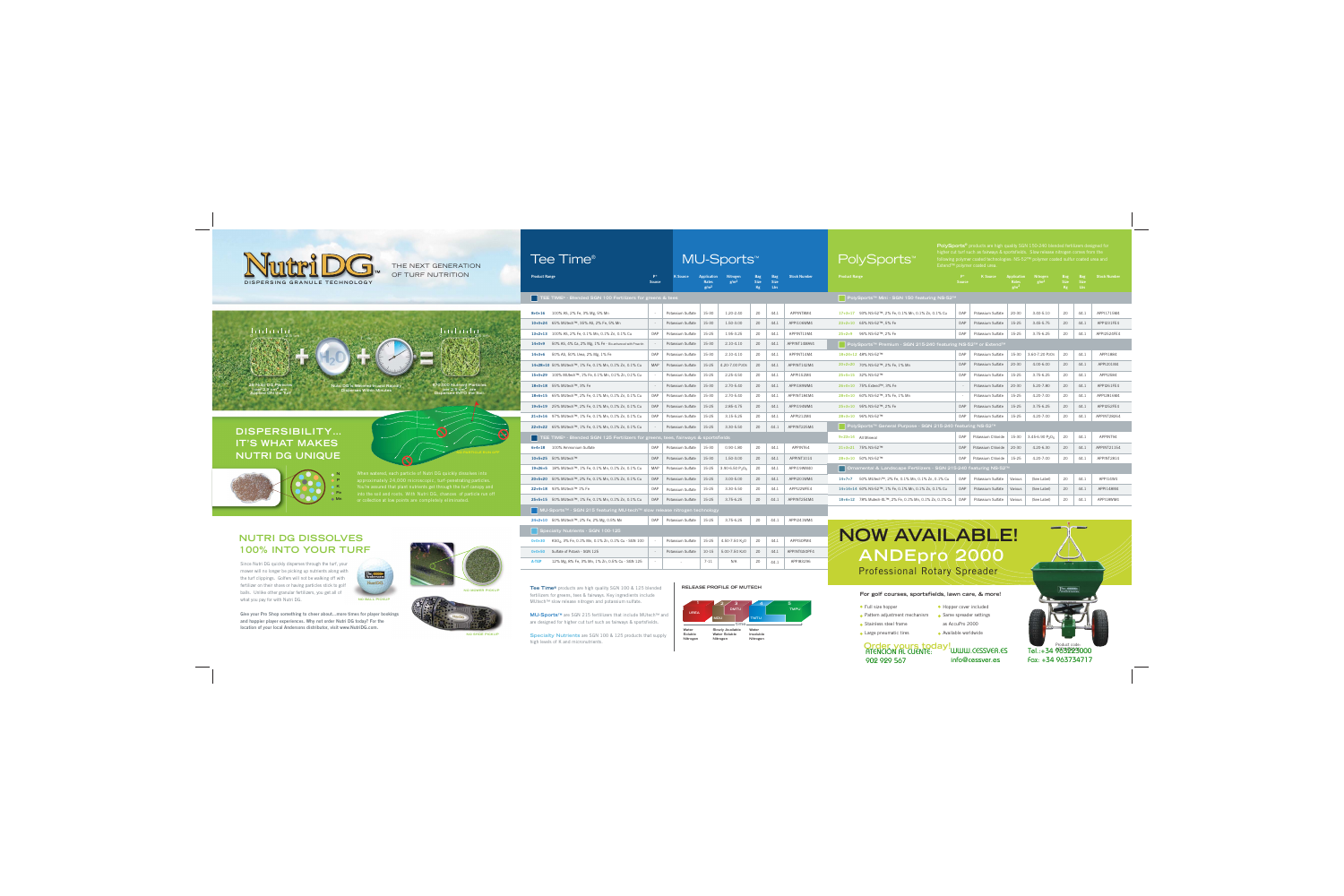

**PolySports®** products are high quality SGN 150-240 blended fertilizers designed for higher cut turf such as fairways & sportsfields. Slow release nitrogen comes from the following polymer coated technologies: NS-52™ polymer coated sulfur coated urea and

| <b>Product Range</b>                                                               | P*<br><b>Source</b>      | <b>K</b> Source    | <b>Application</b><br><b>Rates</b><br>g/m <sup>2</sup> | Nitrogen<br>g/m <sup>2</sup>            | <b>Bag</b><br><b>Size</b><br><b>Kg</b> | <b>Bag</b><br><b>Size</b><br>Lbs | <b>Stock Number</b> |  |
|------------------------------------------------------------------------------------|--------------------------|--------------------|--------------------------------------------------------|-----------------------------------------|----------------------------------------|----------------------------------|---------------------|--|
| PolySports <sup>™</sup> Mini - SGN 150 featuring NS-52™                            |                          |                    |                                                        |                                         |                                        |                                  |                     |  |
| 93% NS-52™, 2% Fe, 0.1% Mn, 0.1% Zn, 0.1% Cu<br>$17 + 3 + 17$                      | DAP                      | Potassium Sulfate  | 20-30                                                  | 3.40-5.10                               | 20                                     | 44.1                             | APPI1715M4          |  |
| 23+2+10 65% NS-52™, 5% Fe                                                          | <b>DAP</b>               | Potassium Sulfate  | 15-25                                                  | 3.45-5.75                               | 20                                     | 44.1                             | APPI231FE4          |  |
| $25 + 2 + 9$<br>96% NS-52™, 2% Fe                                                  | DAP                      | Potassium Sulfate  | 15-25                                                  | 3.75-6.25                               | 20                                     | 44.1                             | APPI2524FE4         |  |
| PolySports <sup>™</sup> Premium - SGN 215-240 featuring NS-52™ or Extend™          |                          |                    |                                                        |                                         |                                        |                                  |                     |  |
| 18+24+12 48% NS-52™                                                                | <b>DAP</b>               | Potassium Sulfate  | 15-30                                                  | 3.60-7.20 P <sub>2</sub> O <sub>5</sub> | 20                                     | 44.1                             | APPI1884            |  |
| 20+2+20 70% NS-52™, 2% Fe, 1% Mn                                                   | <b>DAP</b>               | Potassium Sulfate  | 20-30                                                  | 4.00-6.00                               | 20                                     | 44.1                             | APPI201M4           |  |
| 25+5+15 32% NS-52™                                                                 | DAP                      | Potassium Sulfate  | 15-25                                                  | 3.75-6.25                               | 20                                     | 44.1                             | APPI2584            |  |
| 26+0+10 75% Extend™, 3% Fe                                                         | $\overline{\phantom{a}}$ | Potassium Sulfate  | 20-30                                                  | 5.20-7.80                               | 20                                     | 44.1                             | APPI261FE4          |  |
| 28+0+10 60% NS-52™, 3% Fe, 1% Mn                                                   | $\overline{\phantom{a}}$ | Potassium Sulfate  | 15-25                                                  | 4.20-7.00                               | 20                                     | 44.1                             | APPI2816M4          |  |
| 25+3+10 95% NS-52™, 2% Fe                                                          | <b>DAP</b>               | Potassium Sulfate  | 15-25                                                  | 3.75-6.25                               | 20                                     | 44.1                             | APPI252FE4          |  |
| 28+3+10 96% NS-52™                                                                 | <b>DAP</b>               | Potassium Sulfate  | 15-25                                                  | 4.20-7.00                               | 20                                     | 44.1                             | APPINT28264         |  |
| PolySports <sup>™</sup> General Purpose - SGN 215-240 featuring NS-52 <sup>™</sup> |                          |                    |                                                        |                                         |                                        |                                  |                     |  |
| 9+23+14 All Mineral                                                                | <b>DAP</b>               | Potassium Chloride | 15-30                                                  | 3.45-6.90 P <sub>2</sub> O <sub>5</sub> | 20                                     | 44.1                             | APPINT94            |  |
| 21+3+21 75% NS-52™                                                                 | <b>DAP</b>               | Potassium Chloride | 20-30                                                  | 4.20-6.30                               | 20                                     | 44.1                             | APPINT21154         |  |
| 28+3+10 50% NS-52™                                                                 | <b>DAP</b>               | Potassium Chloride | 15-25                                                  | 4.20-7.00                               | 20                                     | 44.1                             | APPINT2814          |  |
| Ornamental & Landscape Fertilizers - SGN 215-240 featuring NS-52 <sup>™</sup>      |                          |                    |                                                        |                                         |                                        |                                  |                     |  |
| $14 + 7 + 7$<br>50% MUtech™, 2% Fe, 0.1% Mn, 0.1% Zn, 0.1% Cu                      | <b>DAP</b>               | Potassium Sulfate  | Various                                                | (See Label)                             | 20                                     | 44.1                             | APPI14W4            |  |
| 14+14+14 60% NS-52™, 1% Fe, 0.1% Mn, 0.1% Zn, 0.1% Cu                              | <b>DAP</b>               | Potassium Sulfate  | Various                                                | (See Label)                             | 20                                     | 44.1                             | APPI148M4           |  |
| 18+6+12 78% Mutech-XL™, 2% Fe, 0.1% Mn, 0.1% Zn, 0.1% Cu                           | DAP                      | Potassium Sulfate  | Various                                                | (See Label)                             | 20                                     | 44.1                             | APPI18WM4           |  |

## **NOW AVAILABLE! ANDEpro 2000** Professional Rotary Spreader

#### **For golf courses, sportsfields, lawn care, & more!**

- Full size hopper
- Pattern adjustment mechanism
- Stainless steel frame
- **Large pneumatic tires**
- **Hopper cover included**
- Same spreader settings as AccuPro 2000
- Available worldwide

**Order yours today!**<br>ATENCIÓN AL CLIENTE: WWW.CESSVER.ES Tel.:+34 9832229 902 929 567WWW.CESSVER.ES info@cessver.es